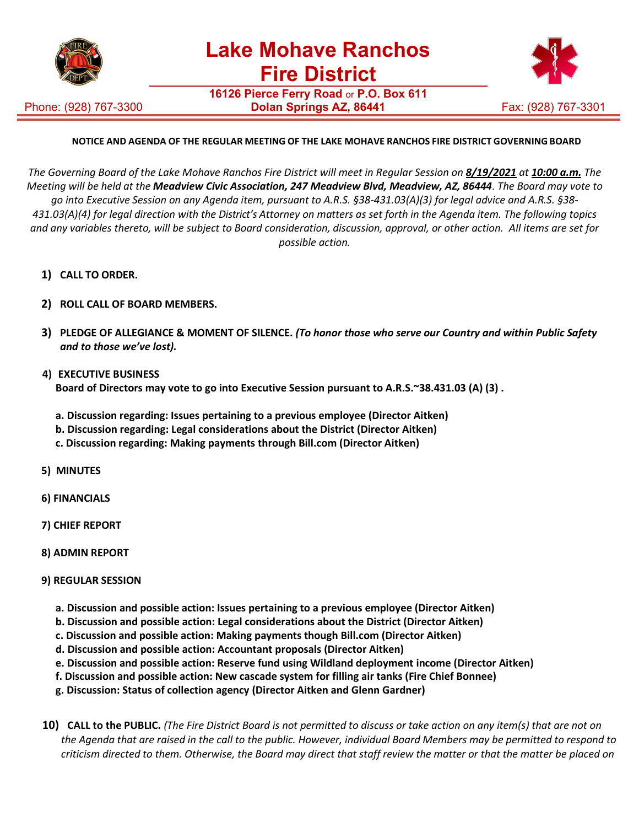

**16126 Pierce Ferry Road** or **P.O. Box 611**

Phone: (928) 767-3300



## **NOTICE AND AGENDA OF THE REGULAR MEETING OF THE LAKE MOHAVE RANCHOS FIRE DISTRICT GOVERNING BOARD**

The Governing Board of the Lake Mohave Ranchos Fire District will meet in Regular Session on 8/19/2021 at 10:00 a.m. The *Meeting will be held at the Meadview Civic Association, 247 Meadview Blvd, Meadview, AZ, 86444*. *The Board may vote to go into Executive Session on any Agenda item, pursuant to A.R.S. §38-431.03(A)(3) for legal advice and A.R.S. §38- 431.03(A)(4) for legal direction with the District's Attorney on matters as set forth in the Agenda item. The following topics and any variables thereto, will be subject to Board consideration, discussion, approval, or other action. All items are set for possible action.*

- **1) CALL TO ORDER.**
- **2) ROLL CALL OF BOARD MEMBERS.**
- **3) PLEDGE OF ALLEGIANCE & MOMENT OF SILENCE.** *(To honor those who serve our Country and within Public Safety and to those we've lost).*
- **4) EXECUTIVE BUSINESS Board of Directors may vote to go into Executive Session pursuant to A.R.S.~38.431.03 (A) (3) .**
	- **a. Discussion regarding: Issues pertaining to a previous employee (Director Aitken)**
	- **b. Discussion regarding: Legal considerations about the District (Director Aitken)**
	- **c. Discussion regarding: Making payments through Bill.com (Director Aitken)**
- **5) MINUTES**
- **6) FINANCIALS**
- **7) CHIEF REPORT**
- **8) ADMIN REPORT**
- **9) REGULAR SESSION**
	- **a. Discussion and possible action: Issues pertaining to a previous employee (Director Aitken)**
	- **b. Discussion and possible action: Legal considerations about the District (Director Aitken)**
	- **c. Discussion and possible action: Making payments though Bill.com (Director Aitken)**
	- **d. Discussion and possible action: Accountant proposals (Director Aitken)**
	- **e. Discussion and possible action: Reserve fund using Wildland deployment income (Director Aitken)**
	- **f. Discussion and possible action: New cascade system for filling air tanks (Fire Chief Bonnee)**
	- **g. Discussion: Status of collection agency (Director Aitken and Glenn Gardner)**
- 10) CALL to the PUBLIC. (The Fire District Board is not permitted to discuss or take action on any item(s) that are not on *the Agenda that are raised in the call to the public. However, individual Board Members may be permitted to respond to criticism directed to them. Otherwise, the Board may direct that staff review the matter or that the matter be placed on*